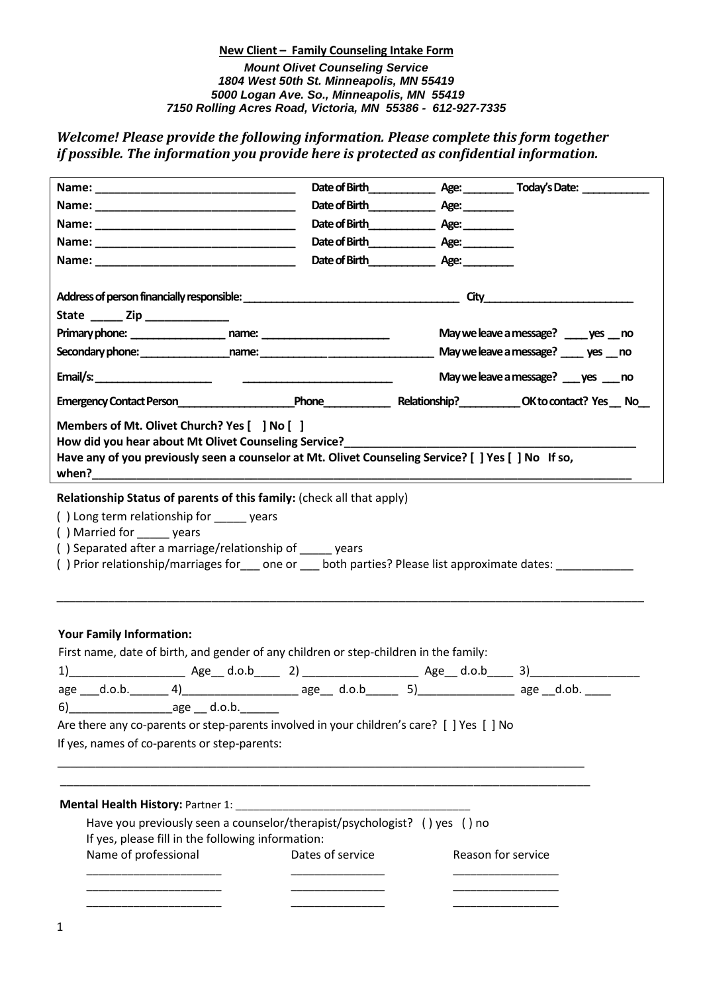# **New Client – Family Counseling Intake Form** *Mount Olivet Counseling Service 1804 West 50th St. Minneapolis, MN 55419 5000 Logan Ave. So., Minneapolis, MN 55419 7150 Rolling Acres Road, Victoria, MN 55386 - 612-927-7335*

*Welcome! Please provide the following information. Please complete this form together if possible. The information you provide here is protected as confidential information.* 

|                                                                                                                                                                                                                                    |                                                                                                                                                             | Date of Birth Age:                      |                                        |
|------------------------------------------------------------------------------------------------------------------------------------------------------------------------------------------------------------------------------------|-------------------------------------------------------------------------------------------------------------------------------------------------------------|-----------------------------------------|----------------------------------------|
|                                                                                                                                                                                                                                    |                                                                                                                                                             |                                         |                                        |
|                                                                                                                                                                                                                                    |                                                                                                                                                             |                                         |                                        |
| State $\frac{1}{\sqrt{2}}$ Zip $\frac{1}{\sqrt{2}}$                                                                                                                                                                                |                                                                                                                                                             |                                         |                                        |
|                                                                                                                                                                                                                                    |                                                                                                                                                             | May we leave a message? _____ yes __ no |                                        |
|                                                                                                                                                                                                                                    |                                                                                                                                                             |                                         | May we leave a message? ____ yes __ no |
|                                                                                                                                                                                                                                    |                                                                                                                                                             |                                         | May we leave a message? ___ yes ___ no |
|                                                                                                                                                                                                                                    |                                                                                                                                                             |                                         |                                        |
|                                                                                                                                                                                                                                    | How did you hear about Mt Olivet Counseling Service?<br>Have any of you previously seen a counselor at Mt. Olivet Counseling Service? [ ] Yes [ ] No If so, |                                         |                                        |
| () Married for ______ years<br>() Separated after a marriage/relationship of vears<br>() Prior relationship/marriages for ___ one or ___ both parties? Please list approximate dates: _________<br><b>Your Family Information:</b> |                                                                                                                                                             |                                         |                                        |
|                                                                                                                                                                                                                                    | First name, date of birth, and gender of any children or step-children in the family:                                                                       |                                         |                                        |
|                                                                                                                                                                                                                                    |                                                                                                                                                             |                                         |                                        |
|                                                                                                                                                                                                                                    | age ___d.o.b. _______ 4)_________________________ age___ d.o.b________ 5)______________________ age __d.ob. _____                                           |                                         |                                        |
|                                                                                                                                                                                                                                    |                                                                                                                                                             |                                         |                                        |
|                                                                                                                                                                                                                                    | Are there any co-parents or step-parents involved in your children's care? [ ] Yes [ ] No                                                                   |                                         |                                        |
| If yes, names of co-parents or step-parents:                                                                                                                                                                                       |                                                                                                                                                             |                                         |                                        |
|                                                                                                                                                                                                                                    |                                                                                                                                                             |                                         |                                        |
|                                                                                                                                                                                                                                    |                                                                                                                                                             |                                         |                                        |
|                                                                                                                                                                                                                                    |                                                                                                                                                             |                                         |                                        |
|                                                                                                                                                                                                                                    | Have you previously seen a counselor/therapist/psychologist? () yes () no                                                                                   |                                         |                                        |
| If yes, please fill in the following information:                                                                                                                                                                                  |                                                                                                                                                             |                                         |                                        |
| Name of professional                                                                                                                                                                                                               | Dates of service                                                                                                                                            |                                         | Reason for service                     |
|                                                                                                                                                                                                                                    |                                                                                                                                                             |                                         |                                        |
|                                                                                                                                                                                                                                    |                                                                                                                                                             |                                         |                                        |
|                                                                                                                                                                                                                                    |                                                                                                                                                             |                                         |                                        |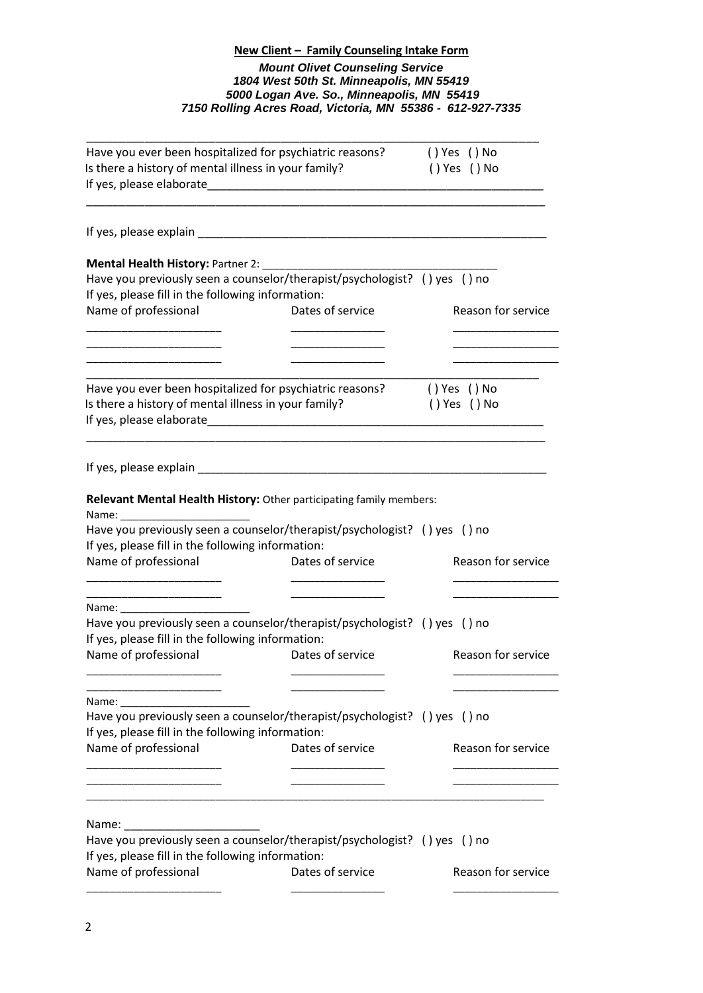# **New Client – Family Counseling Intake Form** *Mount Olivet Counseling Service 1804 West 50th St. Minneapolis, MN 55419 5000 Logan Ave. So., Minneapolis, MN 55419 7150 Rolling Acres Road, Victoria, MN 55386 - 612-927-7335*

| Have you ever been hospitalized for psychiatric reasons?<br>Is there a history of mental illness in your family? |                                                                           | () Yes () No<br>() Yes () No            |  |
|------------------------------------------------------------------------------------------------------------------|---------------------------------------------------------------------------|-----------------------------------------|--|
|                                                                                                                  |                                                                           |                                         |  |
| Mental Health History: Partner 2: ___________                                                                    |                                                                           |                                         |  |
|                                                                                                                  | Have you previously seen a counselor/therapist/psychologist? () yes () no |                                         |  |
| If yes, please fill in the following information:                                                                |                                                                           |                                         |  |
| Name of professional                                                                                             | Dates of service                                                          | Reason for service                      |  |
|                                                                                                                  |                                                                           | <u> 1989 - Johann Barbara, martin a</u> |  |
|                                                                                                                  | _________________________                                                 |                                         |  |
|                                                                                                                  |                                                                           |                                         |  |
| Is there a history of mental illness in your family?                                                             | Have you ever been hospitalized for psychiatric reasons?                  | () Yes () No<br>() Yes () No            |  |
|                                                                                                                  |                                                                           |                                         |  |
|                                                                                                                  |                                                                           |                                         |  |
|                                                                                                                  |                                                                           |                                         |  |
|                                                                                                                  |                                                                           |                                         |  |
|                                                                                                                  | Relevant Mental Health History: Other participating family members:       |                                         |  |
|                                                                                                                  |                                                                           |                                         |  |
| If yes, please fill in the following information:                                                                | Have you previously seen a counselor/therapist/psychologist? () yes () no |                                         |  |
| Name of professional                                                                                             | Dates of service                                                          | Reason for service                      |  |
|                                                                                                                  |                                                                           |                                         |  |
|                                                                                                                  |                                                                           |                                         |  |
|                                                                                                                  | Have you previously seen a counselor/therapist/psychologist? () yes () no |                                         |  |
| If yes, please fill in the following information:                                                                |                                                                           |                                         |  |
| Name of professional                                                                                             | Dates of service                                                          | Reason for service                      |  |
|                                                                                                                  |                                                                           |                                         |  |
|                                                                                                                  |                                                                           |                                         |  |
| Name:                                                                                                            |                                                                           |                                         |  |
| If yes, please fill in the following information:                                                                | Have you previously seen a counselor/therapist/psychologist? () yes () no |                                         |  |
| Name of professional                                                                                             | Dates of service                                                          | Reason for service                      |  |
|                                                                                                                  |                                                                           |                                         |  |
|                                                                                                                  |                                                                           |                                         |  |
|                                                                                                                  |                                                                           |                                         |  |
| Name:                                                                                                            |                                                                           |                                         |  |
| If yes, please fill in the following information:                                                                | Have you previously seen a counselor/therapist/psychologist? () yes () no |                                         |  |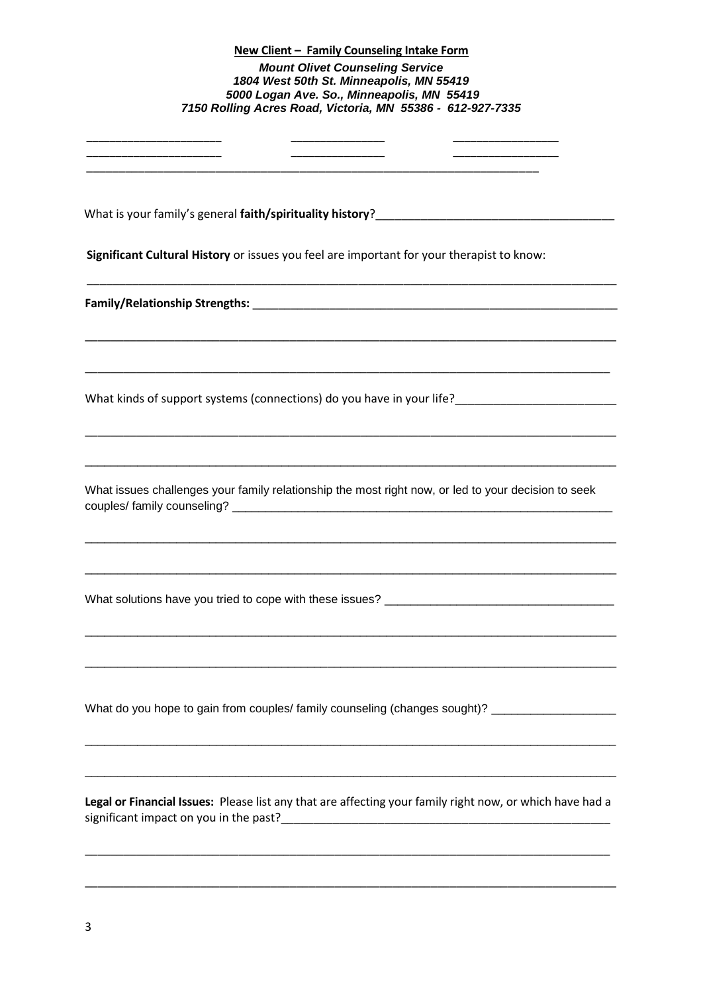# **New Client – Family Counseling Intake Form** *Mount Olivet Counseling Service 1804 West 50th St. Minneapolis, MN 55419 5000 Logan Ave. So., Minneapolis, MN 55419 7150 Rolling Acres Road, Victoria, MN 55386 - 612-927-7335* \_\_\_\_\_\_\_\_\_\_\_\_\_\_\_\_\_\_\_\_\_\_\_ \_\_\_\_\_\_\_\_\_\_\_\_\_\_\_\_ \_\_\_\_\_\_\_\_\_\_\_\_\_\_\_\_\_\_ \_\_\_\_\_\_\_\_\_\_\_\_\_\_\_\_\_\_\_\_\_\_\_ \_\_\_\_\_\_\_\_\_\_\_\_\_\_\_\_ \_\_\_\_\_\_\_\_\_\_\_\_\_\_\_\_\_\_ \_\_\_\_\_\_\_\_\_\_\_\_\_\_\_\_\_\_\_\_\_\_\_\_\_\_\_\_\_\_\_\_\_\_\_\_\_\_\_\_\_\_\_\_\_\_\_\_\_\_\_\_\_\_\_\_\_\_\_\_\_\_\_\_\_\_\_\_\_\_ What is your family's general **faith/spirituality history**? **Significant Cultural History** or issues you feel are important for your therapist to know: \_\_\_\_\_\_\_\_\_\_\_\_\_\_\_\_\_\_\_\_\_\_\_\_\_\_\_\_\_\_\_\_\_\_\_\_\_\_\_\_\_\_\_\_\_\_\_\_\_\_\_\_\_\_\_\_\_\_\_\_\_\_\_\_\_\_\_\_\_\_\_\_\_\_\_\_\_\_\_\_\_\_ **Family/Relationship Strengths:** \_\_\_\_\_\_\_\_\_\_\_\_\_\_\_\_\_\_\_\_\_\_\_\_\_\_\_\_\_\_\_\_\_\_\_\_\_\_\_\_\_\_\_\_\_\_\_\_\_\_\_\_\_\_\_\_\_ \_\_\_\_\_\_\_\_\_\_\_\_\_\_\_\_\_\_\_\_\_\_\_\_\_\_\_\_\_\_\_\_\_\_\_\_\_\_\_\_\_\_\_\_\_\_\_\_\_\_\_\_\_\_\_\_\_\_\_\_\_\_\_\_\_\_\_\_\_\_\_\_\_\_\_\_\_\_\_\_\_\_\_ \_\_\_\_\_\_\_\_\_\_\_\_\_\_\_\_\_\_\_\_\_\_\_\_\_\_\_\_\_\_\_\_\_\_\_\_\_\_\_\_\_\_\_\_\_\_\_\_\_\_\_\_\_\_\_\_\_\_\_\_\_\_\_\_\_\_\_\_\_\_\_\_\_\_\_\_\_\_\_\_\_\_ What kinds of support systems (connections) do you have in your life?\_\_\_\_\_\_\_\_\_\_\_\_\_\_\_\_\_\_\_\_\_\_\_\_\_ \_\_\_\_\_\_\_\_\_\_\_\_\_\_\_\_\_\_\_\_\_\_\_\_\_\_\_\_\_\_\_\_\_\_\_\_\_\_\_\_\_\_\_\_\_\_\_\_\_\_\_\_\_\_\_\_\_\_\_\_\_\_\_\_\_\_\_\_\_\_\_\_\_\_\_\_\_\_\_\_\_\_\_ \_\_\_\_\_\_\_\_\_\_\_\_\_\_\_\_\_\_\_\_\_\_\_\_\_\_\_\_\_\_\_\_\_\_\_\_\_\_\_\_\_\_\_\_\_\_\_\_\_\_\_\_\_\_\_\_\_\_\_\_\_\_\_\_\_\_\_\_\_\_\_\_\_\_\_\_\_\_\_\_\_ What issues challenges your family relationship the most right now, or led to your decision to seek couples/ family counseling? \_\_\_\_\_\_\_\_\_\_\_\_\_\_\_\_\_\_\_\_\_\_\_\_\_\_\_\_\_\_\_\_\_\_\_\_\_\_\_\_\_\_\_\_\_\_\_\_\_\_\_\_\_\_\_\_\_\_ \_\_\_\_\_\_\_\_\_\_\_\_\_\_\_\_\_\_\_\_\_\_\_\_\_\_\_\_\_\_\_\_\_\_\_\_\_\_\_\_\_\_\_\_\_\_\_\_\_\_\_\_\_\_\_\_\_\_\_\_\_\_\_\_\_\_\_\_\_\_\_\_\_\_\_\_\_\_\_\_\_ \_\_\_\_\_\_\_\_\_\_\_\_\_\_\_\_\_\_\_\_\_\_\_\_\_\_\_\_\_\_\_\_\_\_\_\_\_\_\_\_\_\_\_\_\_\_\_\_\_\_\_\_\_\_\_\_\_\_\_\_\_\_\_\_\_\_\_\_\_\_\_\_\_\_\_\_\_\_\_\_\_ What solutions have you tried to cope with these issues? \_\_\_\_\_\_\_\_\_\_\_\_\_\_\_\_\_\_\_\_\_\_\_\_ \_\_\_\_\_\_\_\_\_\_\_\_\_\_\_\_\_\_\_\_\_\_\_\_\_\_\_\_\_\_\_\_\_\_\_\_\_\_\_\_\_\_\_\_\_\_\_\_\_\_\_\_\_\_\_\_\_\_\_\_\_\_\_\_\_\_\_\_\_\_\_\_\_\_\_\_\_\_\_\_\_ \_\_\_\_\_\_\_\_\_\_\_\_\_\_\_\_\_\_\_\_\_\_\_\_\_\_\_\_\_\_\_\_\_\_\_\_\_\_\_\_\_\_\_\_\_\_\_\_\_\_\_\_\_\_\_\_\_\_\_\_\_\_\_\_\_\_\_\_\_\_\_\_\_\_\_\_\_\_\_\_\_ What do you hope to gain from couples/ family counseling (changes sought)? \_\_\_\_\_\_\_\_\_\_\_\_\_\_\_\_\_\_\_\_\_\_\_\_ \_\_\_\_\_\_\_\_\_\_\_\_\_\_\_\_\_\_\_\_\_\_\_\_\_\_\_\_\_\_\_\_\_\_\_\_\_\_\_\_\_\_\_\_\_\_\_\_\_\_\_\_\_\_\_\_\_\_\_\_\_\_\_\_\_\_\_\_\_\_\_\_\_\_\_\_\_\_\_\_\_ \_\_\_\_\_\_\_\_\_\_\_\_\_\_\_\_\_\_\_\_\_\_\_\_\_\_\_\_\_\_\_\_\_\_\_\_\_\_\_\_\_\_\_\_\_\_\_\_\_\_\_\_\_\_\_\_\_\_\_\_\_\_\_\_\_\_\_\_\_\_\_\_\_\_\_\_\_\_\_\_\_ **Legal or Financial Issues:** Please list any that are affecting your family right now, or which have had a significant impact on you in the past?\_\_\_\_\_\_\_\_\_\_\_\_\_\_\_\_\_\_\_\_\_\_\_\_\_\_\_\_\_\_\_\_\_\_\_\_\_\_\_\_\_\_\_\_\_\_\_\_\_\_\_ \_\_\_\_\_\_\_\_\_\_\_\_\_\_\_\_\_\_\_\_\_\_\_\_\_\_\_\_\_\_\_\_\_\_\_\_\_\_\_\_\_\_\_\_\_\_\_\_\_\_\_\_\_\_\_\_\_\_\_\_\_\_\_\_\_\_\_\_\_\_\_\_\_\_\_\_\_\_\_\_\_\_ \_\_\_\_\_\_\_\_\_\_\_\_\_\_\_\_\_\_\_\_\_\_\_\_\_\_\_\_\_\_\_\_\_\_\_\_\_\_\_\_\_\_\_\_\_\_\_\_\_\_\_\_\_\_\_\_\_\_\_\_\_\_\_\_\_\_\_\_\_\_\_\_\_\_\_\_\_\_\_\_\_\_\_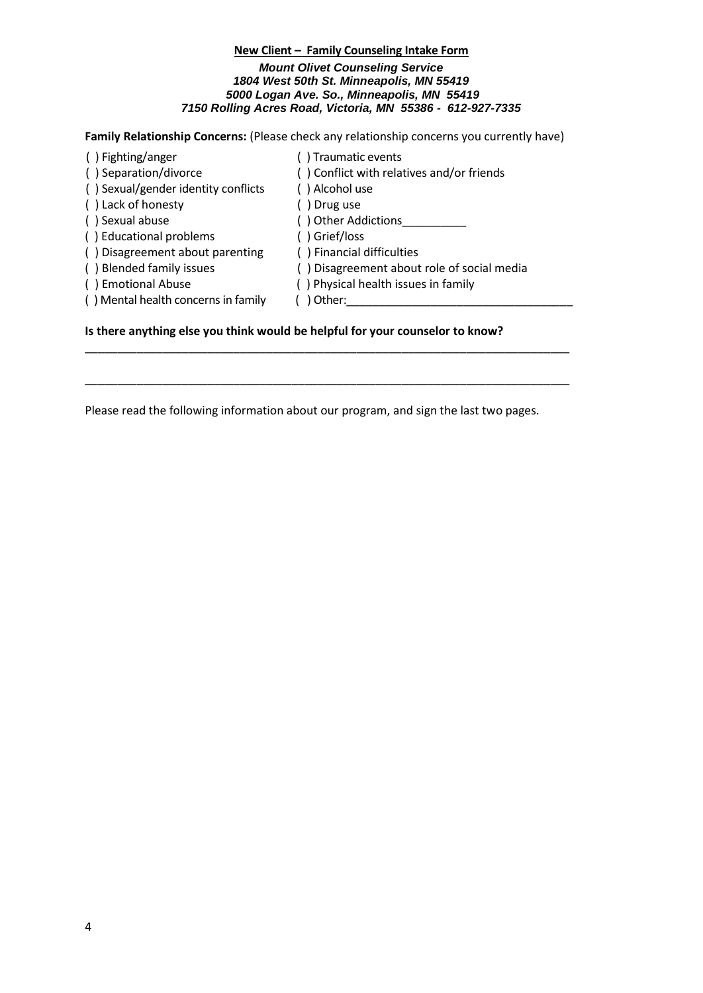# **New Client – Family Counseling Intake Form** *Mount Olivet Counseling Service 1804 West 50th St. Minneapolis, MN 55419 5000 Logan Ave. So., Minneapolis, MN 55419 7150 Rolling Acres Road, Victoria, MN 55386 - 612-927-7335*

# **Family Relationship Concerns:** (Please check any relationship concerns you currently have)

| () Fighting/anger                   | () Traumatic events                        |
|-------------------------------------|--------------------------------------------|
| () Separation/divorce               | () Conflict with relatives and/or friends  |
| () Sexual/gender identity conflicts | () Alcohol use                             |
| () Lack of honesty                  | ) Drug use                                 |
| () Sexual abuse                     | () Other Addictions                        |
| () Educational problems             | () Grief/loss                              |
| () Disagreement about parenting     | () Financial difficulties                  |
| () Blended family issues            | () Disagreement about role of social media |
| () Emotional Abuse                  | () Physical health issues in family        |
| () Mental health concerns in family | Other:                                     |
|                                     |                                            |

# **Is there anything else you think would be helpful for your counselor to know?**

Please read the following information about our program, and sign the last two pages.

\_\_\_\_\_\_\_\_\_\_\_\_\_\_\_\_\_\_\_\_\_\_\_\_\_\_\_\_\_\_\_\_\_\_\_\_\_\_\_\_\_\_\_\_\_\_\_\_\_\_\_\_\_\_\_\_\_\_\_\_\_\_\_\_\_\_\_\_\_\_\_\_\_\_\_

\_\_\_\_\_\_\_\_\_\_\_\_\_\_\_\_\_\_\_\_\_\_\_\_\_\_\_\_\_\_\_\_\_\_\_\_\_\_\_\_\_\_\_\_\_\_\_\_\_\_\_\_\_\_\_\_\_\_\_\_\_\_\_\_\_\_\_\_\_\_\_\_\_\_\_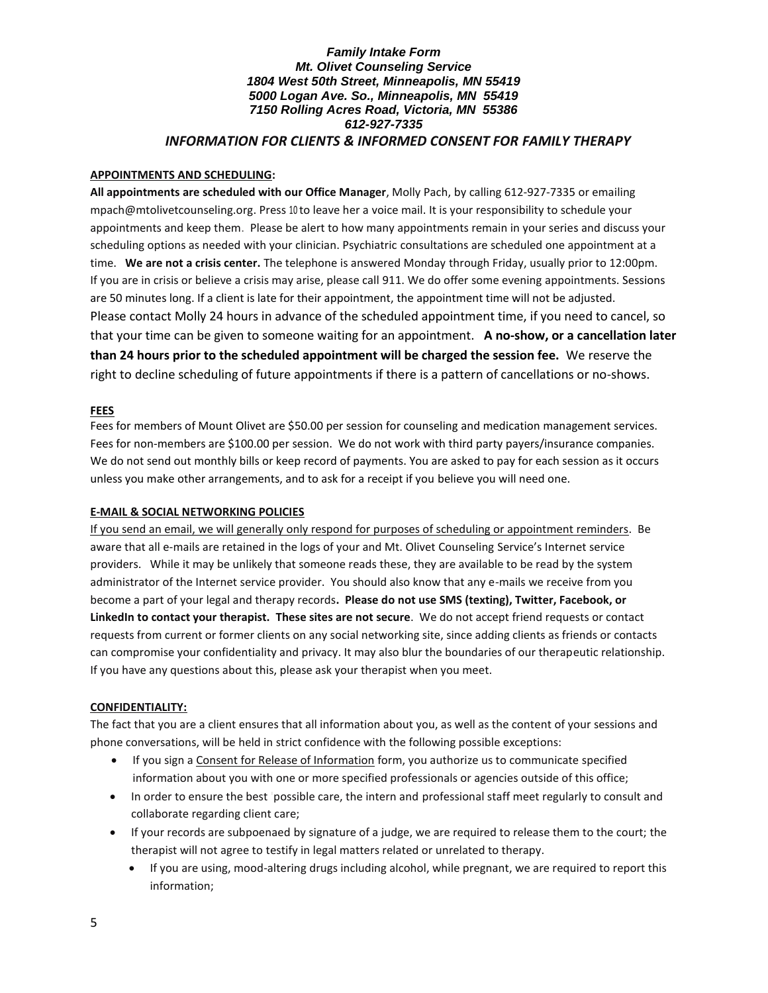## *Family Intake Form Mt. Olivet Counseling Service 1804 West 50th Street, Minneapolis, MN 55419 5000 Logan Ave. So., Minneapolis, MN 55419 7150 Rolling Acres Road, Victoria, MN 55386 612-927-7335 INFORMATION FOR CLIENTS & INFORMED CONSENT FOR FAMILY THERAPY*

#### **APPOINTMENTS AND SCHEDULING:**

**All appointments are scheduled with our Office Manager**, Molly Pach, by calling 612-927-7335 or emailing mpach@mtolivetcounseling.org. Press 10 to leave her a voice mail. It is your responsibility to schedule your appointments and keep them. Please be alert to how many appointments remain in your series and discuss your scheduling options as needed with your clinician. Psychiatric consultations are scheduled one appointment at a time. **We are not a crisis center.** The telephone is answered Monday through Friday, usually prior to 12:00pm. If you are in crisis or believe a crisis may arise, please call 911. We do offer some evening appointments. Sessions are 50 minutes long. If a client is late for their appointment, the appointment time will not be adjusted. Please contact Molly 24 hours in advance of the scheduled appointment time, if you need to cancel, so that your time can be given to someone waiting for an appointment. **A no-show, or a cancellation later than 24 hours prior to the scheduled appointment will be charged the session fee.** We reserve the right to decline scheduling of future appointments if there is a pattern of cancellations or no-shows.

#### **FEES**

Fees for members of Mount Olivet are \$50.00 per session for counseling and medication management services. Fees for non-members are \$100.00 per session. We do not work with third party payers/insurance companies. We do not send out monthly bills or keep record of payments. You are asked to pay for each session as it occurs unless you make other arrangements, and to ask for a receipt if you believe you will need one.

#### **E-MAIL & SOCIAL NETWORKING POLICIES**

If you send an email, we will generally only respond for purposes of scheduling or appointment reminders. Be aware that all e-mails are retained in the logs of your and Mt. Olivet Counseling Service's Internet service providers. While it may be unlikely that someone reads these, they are available to be read by the system administrator of the Internet service provider. You should also know that any e-mails we receive from you become a part of your legal and therapy records**. Please do not use SMS (texting), Twitter, Facebook, or LinkedIn to contact your therapist. These sites are not secure**. We do not accept friend requests or contact requests from current or former clients on any social networking site, since adding clients as friends or contacts can compromise your confidentiality and privacy. It may also blur the boundaries of our therapeutic relationship. If you have any questions about this, please ask your therapist when you meet.

## **CONFIDENTIALITY:**

The fact that you are a client ensures that all information about you, as well as the content of your sessions and phone conversations, will be held in strict confidence with the following possible exceptions:

- If you sign a Consent for Release of Information form, you authorize us to communicate specified information about you with one or more specified professionals or agencies outside of this office;
- In order to ensure the best 'possible care, the intern and professional staff meet regularly to consult and collaborate regarding client care;
- If your records are subpoenaed by signature of a judge, we are required to release them to the court; the therapist will not agree to testify in legal matters related or unrelated to therapy.
	- If you are using, mood-altering drugs including alcohol, while pregnant, we are required to report this information;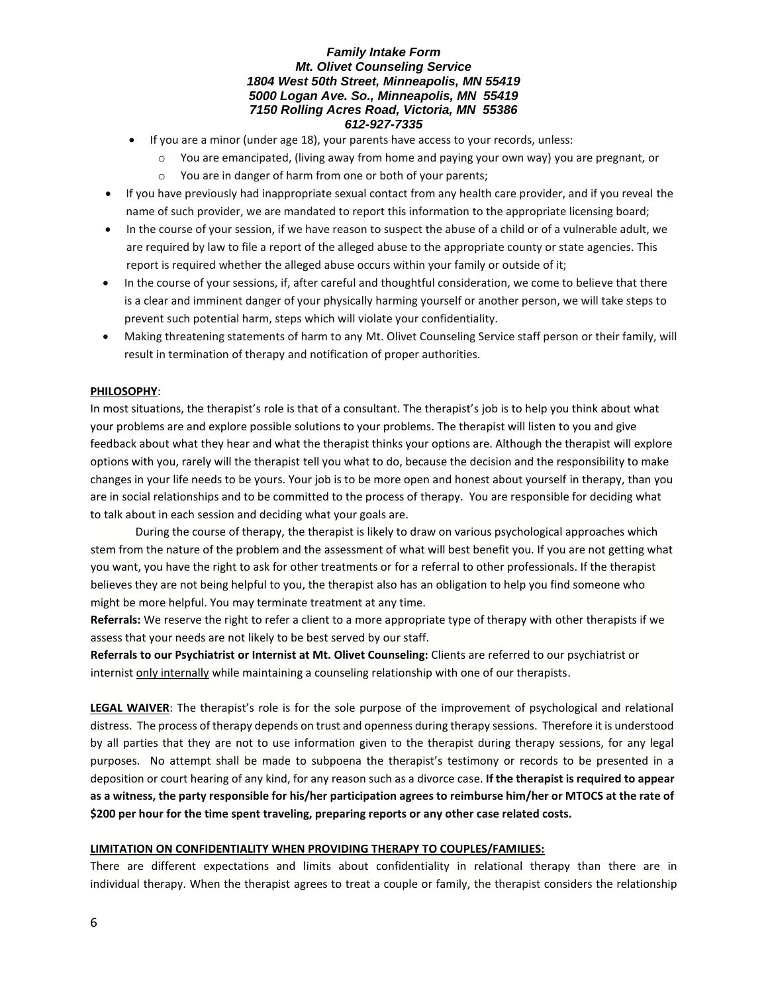## *Family Intake Form Mt. Olivet Counseling Service 1804 West 50th Street, Minneapolis, MN 55419 5000 Logan Ave. So., Minneapolis, MN 55419 7150 Rolling Acres Road, Victoria, MN 55386 612-927-7335*

- If you are a minor (under age 18), your parents have access to your records, unless:
	- o You are emancipated, (living away from home and paying your own way) you are pregnant, or
		- o You are in danger of harm from one or both of your parents;
- If you have previously had inappropriate sexual contact from any health care provider, and if you reveal the name of such provider, we are mandated to report this information to the appropriate licensing board;
- In the course of your session, if we have reason to suspect the abuse of a child or of a vulnerable adult, we are required by law to file a report of the alleged abuse to the appropriate county or state agencies. This report is required whether the alleged abuse occurs within your family or outside of it;
- In the course of your sessions, if, after careful and thoughtful consideration, we come to believe that there is a clear and imminent danger of your physically harming yourself or another person, we will take steps to prevent such potential harm, steps which will violate your confidentiality.
- Making threatening statements of harm to any Mt. Olivet Counseling Service staff person or their family, will result in termination of therapy and notification of proper authorities.

## **PHILOSOPHY**:

In most situations, the therapist's role is that of a consultant. The therapist's job is to help you think about what your problems are and explore possible solutions to your problems. The therapist will listen to you and give feedback about what they hear and what the therapist thinks your options are. Although the therapist will explore options with you, rarely will the therapist tell you what to do, because the decision and the responsibility to make changes in your life needs to be yours. Your job is to be more open and honest about yourself in therapy, than you are in social relationships and to be committed to the process of therapy. You are responsible for deciding what to talk about in each session and deciding what your goals are.

During the course of therapy, the therapist is likely to draw on various psychological approaches which stem from the nature of the problem and the assessment of what will best benefit you. If you are not getting what you want, you have the right to ask for other treatments or for a referral to other professionals. If the therapist believes they are not being helpful to you, the therapist also has an obligation to help you find someone who might be more helpful. You may terminate treatment at any time.

**Referrals:** We reserve the right to refer a client to a more appropriate type of therapy with other therapists if we assess that your needs are not likely to be best served by our staff.

**Referrals to our Psychiatrist or Internist at Mt. Olivet Counseling:** Clients are referred to our psychiatrist or internist only internally while maintaining a counseling relationship with one of our therapists.

**LEGAL WAIVER**: The therapist's role is for the sole purpose of the improvement of psychological and relational distress. The process of therapy depends on trust and openness during therapy sessions. Therefore it is understood by all parties that they are not to use information given to the therapist during therapy sessions, for any legal purposes. No attempt shall be made to subpoena the therapist's testimony or records to be presented in a deposition or court hearing of any kind, for any reason such as a divorce case. **If the therapist is required to appear as a witness, the party responsible for his/her participation agrees to reimburse him/her or MTOCS at the rate of \$200 per hour for the time spent traveling, preparing reports or any other case related costs.** 

## **LIMITATION ON CONFIDENTIALITY WHEN PROVIDING THERAPY TO COUPLES/FAMILIES:**

There are different expectations and limits about confidentiality in relational therapy than there are in individual therapy. When the therapist agrees to treat a couple or family, the therapist considers the relationship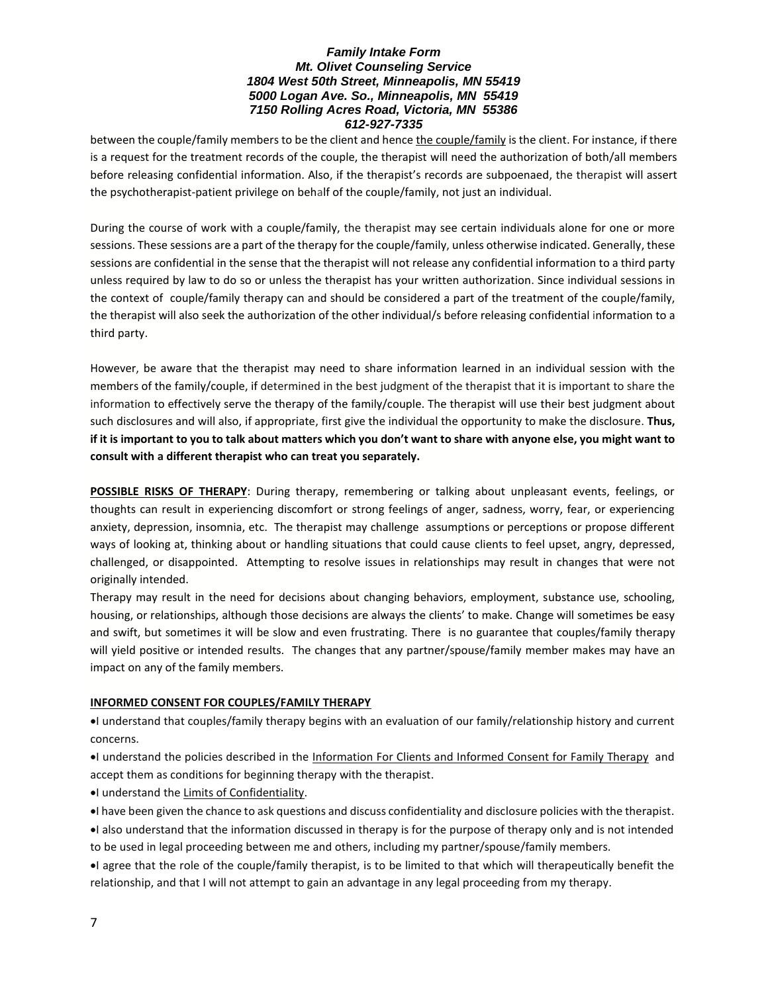### *Family Intake Form Mt. Olivet Counseling Service 1804 West 50th Street, Minneapolis, MN 55419 5000 Logan Ave. So., Minneapolis, MN 55419 7150 Rolling Acres Road, Victoria, MN 55386 612-927-7335*

between the couple/family members to be the client and hence the couple/family is the client. For instance, if there is a request for the treatment records of the couple, the therapist will need the authorization of both/all members before releasing confidential information. Also, if the therapist's records are subpoenaed, the therapist will assert the psychotherapist-patient privilege on behalf of the couple/family, not just an individual.

During the course of work with a couple/family, the therapist may see certain individuals alone for one or more sessions. These sessions are a part of the therapy for the couple/family, unless otherwise indicated. Generally, these sessions are confidential in the sense that the therapist will not release any confidential information to a third party unless required by law to do so or unless the therapist has your written authorization. Since individual sessions in the context of couple/family therapy can and should be considered a part of the treatment of the couple/family, the therapist will also seek the authorization of the other individual/s before releasing confidential information to a third party.

However, be aware that the therapist may need to share information learned in an individual session with the members of the family/couple, if determined in the best judgment of the therapist that it is important to share the information to effectively serve the therapy of the family/couple. The therapist will use their best judgment about such disclosures and will also, if appropriate, first give the individual the opportunity to make the disclosure. **Thus, if it is important to you to talk about matters which you don't want to share with anyone else, you might want to consult with a different therapist who can treat you separately.** 

**POSSIBLE RISKS OF THERAPY**: During therapy, remembering or talking about unpleasant events, feelings, or thoughts can result in experiencing discomfort or strong feelings of anger, sadness, worry, fear, or experiencing anxiety, depression, insomnia, etc. The therapist may challenge assumptions or perceptions or propose different ways of looking at, thinking about or handling situations that could cause clients to feel upset, angry, depressed, challenged, or disappointed. Attempting to resolve issues in relationships may result in changes that were not originally intended.

Therapy may result in the need for decisions about changing behaviors, employment, substance use, schooling, housing, or relationships, although those decisions are always the clients' to make. Change will sometimes be easy and swift, but sometimes it will be slow and even frustrating. There is no guarantee that couples/family therapy will yield positive or intended results. The changes that any partner/spouse/family member makes may have an impact on any of the family members.

## **INFORMED CONSENT FOR COUPLES/FAMILY THERAPY**

I understand that couples/family therapy begins with an evaluation of our family/relationship history and current concerns.

I understand the policies described in the Information For Clients and Informed Consent for Family Therapy and accept them as conditions for beginning therapy with the therapist.

I understand the Limits of Confidentiality.

I have been given the chance to ask questions and discuss confidentiality and disclosure policies with the therapist. I also understand that the information discussed in therapy is for the purpose of therapy only and is not intended

to be used in legal proceeding between me and others, including my partner/spouse/family members.

I agree that the role of the couple/family therapist, is to be limited to that which will therapeutically benefit the relationship, and that I will not attempt to gain an advantage in any legal proceeding from my therapy.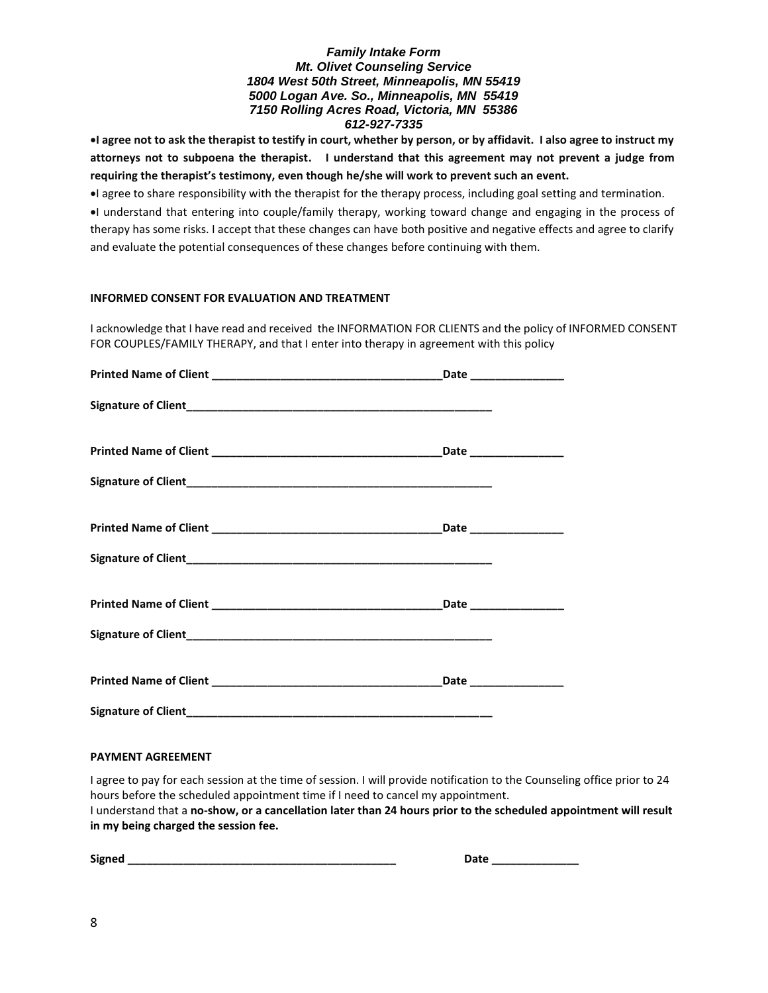## *Family Intake Form Mt. Olivet Counseling Service 1804 West 50th Street, Minneapolis, MN 55419 5000 Logan Ave. So., Minneapolis, MN 55419 7150 Rolling Acres Road, Victoria, MN 55386 612-927-7335*

**I agree not to ask the therapist to testify in court, whether by person, or by affidavit. I also agree to instruct my attorneys not to subpoena the therapist. I understand that this agreement may not prevent a judge from requiring the therapist's testimony, even though he/she will work to prevent such an event.** 

I agree to share responsibility with the therapist for the therapy process, including goal setting and termination.

I understand that entering into couple/family therapy, working toward change and engaging in the process of therapy has some risks. I accept that these changes can have both positive and negative effects and agree to clarify and evaluate the potential consequences of these changes before continuing with them.

#### **INFORMED CONSENT FOR EVALUATION AND TREATMENT**

I acknowledge that I have read and received the INFORMATION FOR CLIENTS and the policy of INFORMED CONSENT FOR COUPLES/FAMILY THERAPY, and that I enter into therapy in agreement with this policy

| Date ________________ |
|-----------------------|
|                       |

#### **PAYMENT AGREEMENT**

I agree to pay for each session at the time of session. I will provide notification to the Counseling office prior to 24 hours before the scheduled appointment time if I need to cancel my appointment.

I understand that a **no-show, or a cancellation later than 24 hours prior to the scheduled appointment will result in my being charged the session fee.**

**Signed \_\_\_\_\_\_\_\_\_\_\_\_\_\_\_\_\_\_\_\_\_\_\_\_\_\_\_\_\_\_\_\_\_\_\_\_\_\_\_\_\_\_\_ Date \_\_\_\_\_\_\_\_\_\_\_\_\_\_**